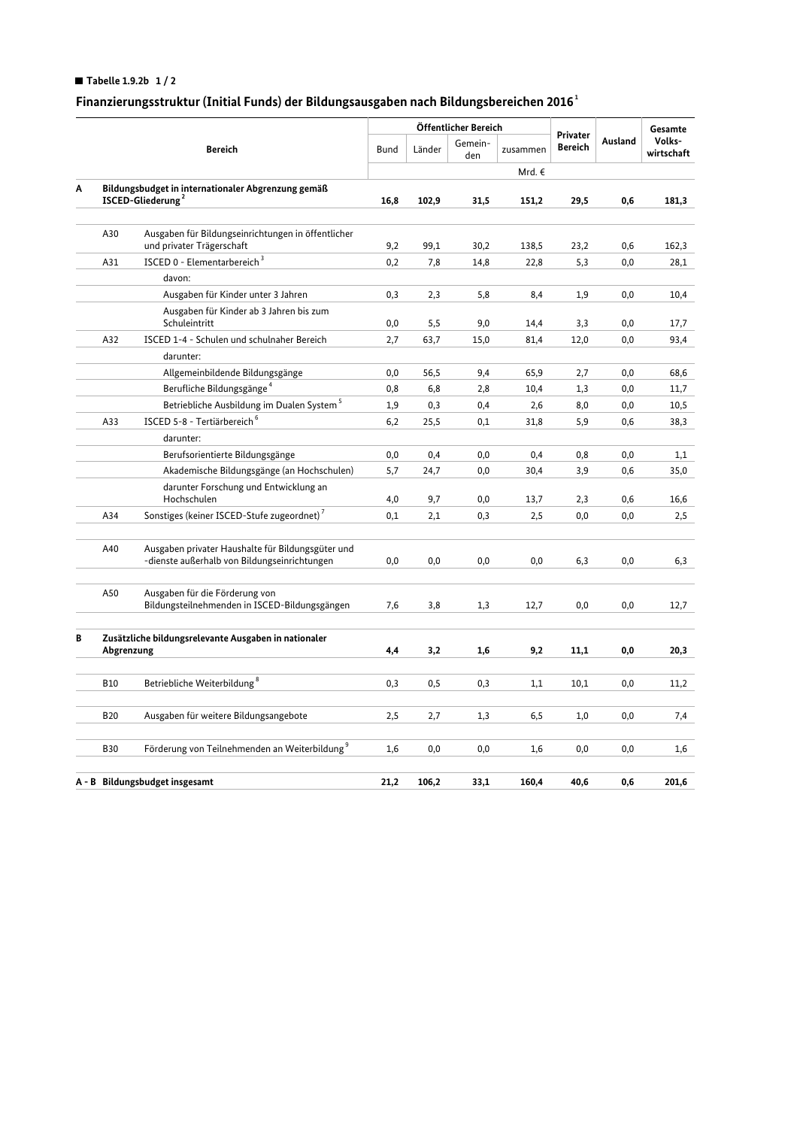## Tabelle 1.9.2b  $1/2$

# Finanzierungsstruktur (Initial Funds) der Bildungsausgaben nach Bildungsbereichen 2016<sup>1</sup>

|   |                                                                                     |                                                                                                   |             | Öffentlicher Bereich |                |          |                            |         | Gesamte              |
|---|-------------------------------------------------------------------------------------|---------------------------------------------------------------------------------------------------|-------------|----------------------|----------------|----------|----------------------------|---------|----------------------|
|   | <b>Bereich</b>                                                                      |                                                                                                   | <b>Bund</b> | Länder               | Gemein-<br>den | zusammen | Privater<br><b>Bereich</b> | Ausland | Volks-<br>wirtschaft |
|   |                                                                                     |                                                                                                   |             |                      |                | Mrd. €   |                            |         |                      |
| A | Bildungsbudget in internationaler Abgrenzung gemäß<br>ISCED-Gliederung <sup>2</sup> |                                                                                                   | 16,8        | 102,9                | 31,5           | 151,2    | 29,5                       | 0,6     | 181,3                |
|   |                                                                                     |                                                                                                   |             |                      |                |          |                            |         |                      |
|   | A30                                                                                 | Ausgaben für Bildungseinrichtungen in öffentlicher<br>und privater Trägerschaft                   | 9,2         | 99,1                 | 30,2           | 138,5    | 23,2                       | 0,6     | 162,3                |
|   | A31                                                                                 | ISCED 0 - Elementarbereich <sup>3</sup>                                                           | 0,2         | 7,8                  | 14,8           | 22,8     | 5,3                        | 0,0     | 28,1                 |
|   |                                                                                     | davon:                                                                                            |             |                      |                |          |                            |         |                      |
|   |                                                                                     | Ausgaben für Kinder unter 3 Jahren                                                                | 0,3         | 2,3                  | 5,8            | 8,4      | 1,9                        | 0,0     | 10,4                 |
|   |                                                                                     | Ausgaben für Kinder ab 3 Jahren bis zum<br>Schuleintritt                                          | 0,0         | 5,5                  | 9,0            | 14,4     | 3,3                        | 0,0     | 17,7                 |
|   | A32                                                                                 | ISCED 1-4 - Schulen und schulnaher Bereich                                                        | 2,7         | 63,7                 | 15,0           | 81,4     | 12,0                       | 0,0     | 93,4                 |
|   |                                                                                     | darunter:                                                                                         |             |                      |                |          |                            |         |                      |
|   |                                                                                     | Allgemeinbildende Bildungsgänge                                                                   | 0,0         | 56,5                 | 9,4            | 65,9     | 2,7                        | 0,0     | 68,6                 |
|   |                                                                                     | Berufliche Bildungsgänge <sup>4</sup>                                                             | 0,8         | 6,8                  | 2,8            | 10,4     | 1,3                        | 0,0     | 11,7                 |
|   |                                                                                     | Betriebliche Ausbildung im Dualen System <sup>5</sup>                                             | 1,9         | 0,3                  | 0,4            | 2,6      | 8,0                        | 0,0     | 10,5                 |
|   | A33                                                                                 | ISCED 5-8 - Tertiärbereich <sup>6</sup>                                                           | 6,2         | 25,5                 | 0,1            | 31,8     | 5,9                        | 0,6     | 38,3                 |
|   |                                                                                     | darunter:                                                                                         |             |                      |                |          |                            |         |                      |
|   |                                                                                     | Berufsorientierte Bildungsgänge                                                                   | 0,0         | 0,4                  | 0,0            | 0,4      | 0,8                        | 0,0     | 1,1                  |
|   |                                                                                     | Akademische Bildungsgänge (an Hochschulen)                                                        | 5,7         | 24,7                 | 0,0            | 30,4     | 3,9                        | 0,6     | 35,0                 |
|   |                                                                                     | darunter Forschung und Entwicklung an<br>Hochschulen                                              | 4,0         | 9,7                  | 0,0            | 13,7     | 2,3                        | 0,6     | 16,6                 |
|   | A34                                                                                 | Sonstiges (keiner ISCED-Stufe zugeordnet) <sup>7</sup>                                            | 0,1         | 2,1                  | 0,3            | 2,5      | 0,0                        | 0,0     | 2,5                  |
|   |                                                                                     |                                                                                                   |             |                      |                |          |                            |         |                      |
|   | A40                                                                                 | Ausgaben privater Haushalte für Bildungsgüter und<br>-dienste außerhalb von Bildungseinrichtungen | 0,0         | 0,0                  | 0,0            | 0,0      | 6,3                        | 0,0     | 6,3                  |
|   | A50                                                                                 | Ausgaben für die Förderung von<br>Bildungsteilnehmenden in ISCED-Bildungsgängen                   | 7,6         | 3,8                  | 1,3            | 12,7     | 0,0                        | 0,0     | 12,7                 |
| В | Zusätzliche bildungsrelevante Ausgaben in nationaler<br>Abgrenzung                  |                                                                                                   | 4,4         | 3,2                  | 1,6            | 9,2      | 11,1                       | 0,0     | 20,3                 |
|   |                                                                                     |                                                                                                   |             |                      |                |          |                            |         |                      |
|   | <b>B10</b>                                                                          | Betriebliche Weiterbildung <sup>8</sup>                                                           | 0,3         | 0, 5                 | 0,3            | 1,1      | 10,1                       | 0,0     | 11,2                 |
|   | <b>B20</b>                                                                          | Ausgaben für weitere Bildungsangebote                                                             | 2,5         | 2,7                  | 1,3            | 6,5      | 1,0                        | 0,0     | 7,4                  |
|   |                                                                                     |                                                                                                   |             |                      |                |          |                            |         |                      |
|   | <b>B30</b>                                                                          | Förderung von Teilnehmenden an Weiterbildung <sup>9</sup>                                         | 1,6         | 0,0                  | 0,0            | 1,6      | 0,0                        | 0,0     | 1,6                  |
|   | A - B Bildungsbudget insgesamt                                                      |                                                                                                   |             | 106,2                | 33,1           | 160,4    | 40,6                       | 0,6     | 201,6                |